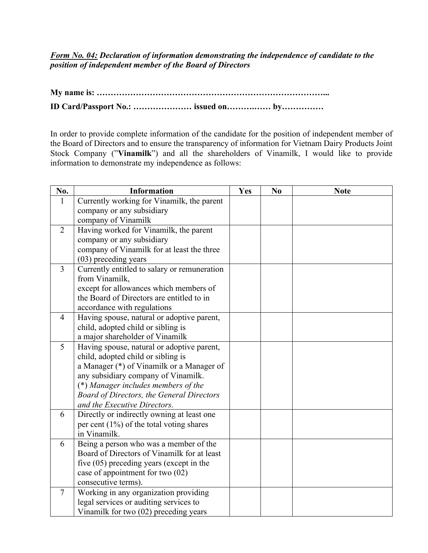*Form No. 04: Declaration of information demonstrating the independence of candidate to the position of independent member of the Board of Directors*

**My name is: ………………………………………………………………………... ID Card/Passport No.: ………………… issued on……….…… by……………**

In order to provide complete information of the candidate for the position of independent member of the Board of Directors and to ensure the transparency of information for Vietnam Dairy Products Joint Stock Company ("**Vinamilk**") and all the shareholders of Vinamilk, I would like to provide information to demonstrate my independence as follows:

| No.            | <b>Information</b>                                          | Yes | N <sub>0</sub> | <b>Note</b> |
|----------------|-------------------------------------------------------------|-----|----------------|-------------|
| $\mathbf{1}$   | Currently working for Vinamilk, the parent                  |     |                |             |
|                | company or any subsidiary                                   |     |                |             |
|                | company of Vinamilk                                         |     |                |             |
| $\overline{2}$ | Having worked for Vinamilk, the parent                      |     |                |             |
|                | company or any subsidiary                                   |     |                |             |
|                | company of Vinamilk for at least the three                  |     |                |             |
|                | (03) preceding years                                        |     |                |             |
| $\overline{3}$ | Currently entitled to salary or remuneration                |     |                |             |
|                | from Vinamilk,                                              |     |                |             |
|                | except for allowances which members of                      |     |                |             |
|                | the Board of Directors are entitled to in                   |     |                |             |
|                | accordance with regulations                                 |     |                |             |
| $\overline{4}$ | Having spouse, natural or adoptive parent,                  |     |                |             |
|                | child, adopted child or sibling is                          |     |                |             |
|                | a major shareholder of Vinamilk                             |     |                |             |
| 5              | Having spouse, natural or adoptive parent,                  |     |                |             |
|                | child, adopted child or sibling is                          |     |                |             |
|                | a Manager (*) of Vinamilk or a Manager of                   |     |                |             |
|                | any subsidiary company of Vinamilk.                         |     |                |             |
|                | (*) Manager includes members of the                         |     |                |             |
|                | <b>Board of Directors, the General Directors</b>            |     |                |             |
|                | and the Executive Directors.                                |     |                |             |
| 6              | Directly or indirectly owning at least one                  |     |                |             |
|                | per cent $(1\%)$ of the total voting shares<br>in Vinamilk. |     |                |             |
| 6              | Being a person who was a member of the                      |     |                |             |
|                | Board of Directors of Vinamilk for at least                 |     |                |             |
|                | five $(05)$ preceding years (except in the                  |     |                |             |
|                | case of appointment for two (02)                            |     |                |             |
|                | consecutive terms).                                         |     |                |             |
| $\tau$         | Working in any organization providing                       |     |                |             |
|                | legal services or auditing services to                      |     |                |             |
|                | Vinamilk for two (02) preceding years                       |     |                |             |